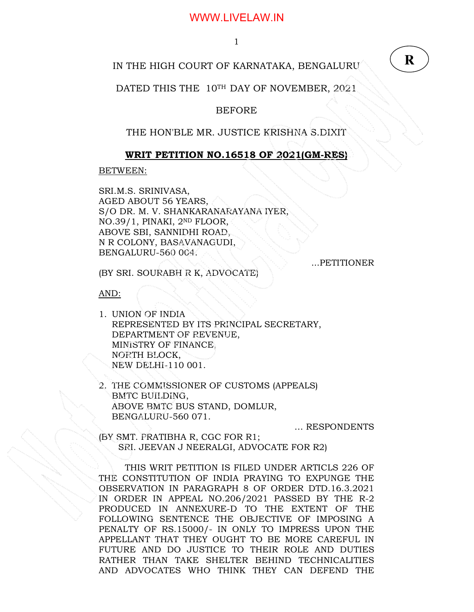1

### IN THE HIGH COURT OF KARNATAKA, BENGALURU

DATED THIS THE 10TH DAY OF NOVEMBER, 2021.

### BEFORE

THE HON'BLE MR. JUSTICE KRISHNA S.DIXIT

### **WRIT PETITION NO.16518 OF 2021(GM-RES)**

BETWEEN:

SRI.M.S. SRINIVASA, AGED ABOUT 56 YEARS, S/O DR. M. V. SHANKARANARAYANA IYER, NO.39/1, PINAKI, 2ND FLOOR, ABOVE SBI, SANNIDHI ROAD, N R COLONY, BASAVANAGUDI, BENGALURU-560 004.

...PETITIONER

**R**

(BY SRI. SOURABH R K, ADVOCATE)

AND:

- 1. UNION OF INDIA REPRESENTED BY ITS PRINCIPAL SECRETARY, DEPARTMENT OF REVENUE, MINISTRY OF FINANCE, NORTH BLOCK, NEW DELHI-110 001.
- 2. THE COMMISSIONER OF CUSTOMS (APPEALS) BMTC BUILDING, ABOVE BMTC BUS STAND, DOMLUR, BENGALURU-560 071.

… RESPONDENTS

(BY SMT. PRATIBHA R, CGC FOR R1; SRI. JEEVAN J NEERALGI, ADVOCATE FOR R2)

THIS WRIT PETITION IS FILED UNDER ARTICLS 226 OF THE CONSTITUTION OF INDIA PRAYING TO EXPUNGE THE OBSERVATION IN PARAGRAPH 8 OF ORDER DTD.16.3.2021 IN ORDER IN APPEAL NO.206/2021 PASSED BY THE R-2 PRODUCED IN ANNEXURE-D TO THE EXTENT OF THE FOLLOWING SENTENCE THE OBJECTIVE OF IMPOSING A PENALTY OF RS.15000/- IN ONLY TO IMPRESS UPON THE APPELLANT THAT THEY OUGHT TO BE MORE CAREFUL IN FUTURE AND DO JUSTICE TO THEIR ROLE AND DUTIES RATHER THAN TAKE SHELTER BEHIND TECHNICALITIES AND ADVOCATES WHO THINK THEY CAN DEFEND THE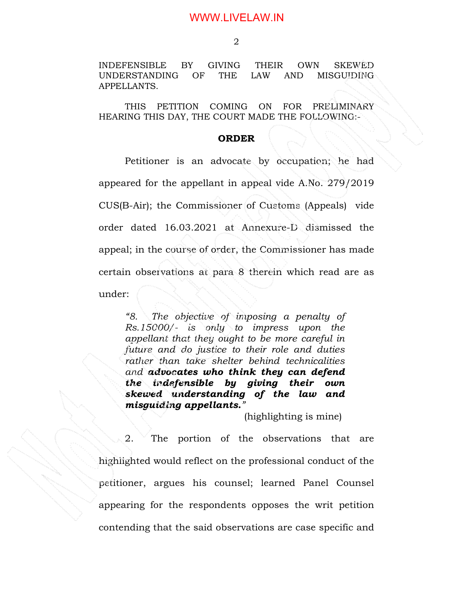INDEFENSIBLE BY GIVING THEIR OWN SKEWED UNDERSTANDING OF THE LAW AND MISGUIDING APPELLANTS.

 THIS PETITION COMING ON FOR PRELIMINARY HEARING THIS DAY, THE COURT MADE THE FOLLOWING:-

#### **ORDER**

 Petitioner is an advocate by occupation; he had appeared for the appellant in appeal vide A.No. 279/2019 CUS(B-Air); the Commissioner of Customs (Appeals) vide order dated 16.03.2021 at Annexure-D dismissed the appeal; in the course of order, the Commissioner has made certain observations at para 8 therein which read are as under:

*"8. The objective of imposing a penalty of Rs.15000/- is only to impress upon the appellant that they ought to be more careful in future and do justice to their role and duties rather than take shelter behind technicalities and advocates who think they can defend the indefensible by giving their own skewed understanding of the law and misguiding appellants."* 

(highlighting is mine)

2. The portion of the observations that are highlighted would reflect on the professional conduct of the petitioner, argues his counsel; learned Panel Counsel appearing for the respondents opposes the writ petition contending that the said observations are case specific and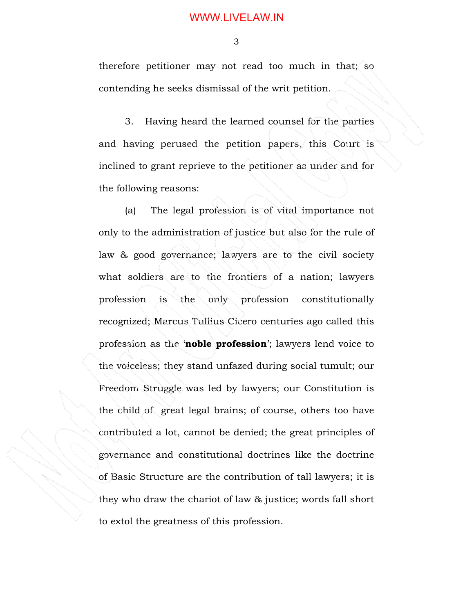3

therefore petitioner may not read too much in that; so contending he seeks dismissal of the writ petition.

 3. Having heard the learned counsel for the parties and having perused the petition papers, this Court is inclined to grant reprieve to the petitioner as under and for the following reasons:

 (a) The legal profession is of vital importance not only to the administration of justice but also for the rule of law & good governance; lawyers are to the civil society what soldiers are to the frontiers of a nation; lawyers profession is the only profession constitutionally recognized; Marcus Tullius Cicero centuries ago called this profession as the '**noble profession**'; lawyers lend voice to the voiceless; they stand unfazed during social tumult; our Freedom Struggle was led by lawyers; our Constitution is the child of great legal brains; of course, others too have contributed a lot, cannot be denied; the great principles of governance and constitutional doctrines like the doctrine of Basic Structure are the contribution of tall lawyers; it is they who draw the chariot of law & justice; words fall short to extol the greatness of this profession.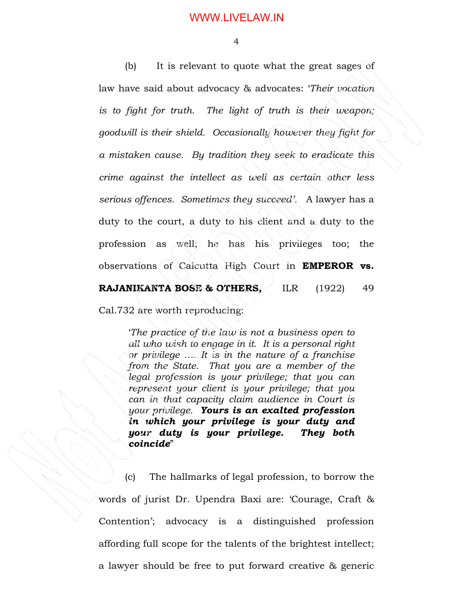4

 (b) It is relevant to quote what the great sages of law have said about advocacy & advocates: '*Their vocation is to fight for truth. The light of truth is their weapon; goodwill is their shield. Occasionally however they fight for a mistaken cause. By tradition they seek to eradicate this crime against the intellect as well as certain other less serious offences. Sometimes they succeed'.* A lawyer has a duty to the court, a duty to his client and a duty to the profession as well; he has his privileges too; the observations of Calcutta High Court in **EMPEROR vs. RAJANIKANTA BOSE & OTHERS, ILR (1922) 49** 

Cal.732 are worth reproducing:

'*The practice of the law is not a business open to all who wish to engage in it. It is a personal right or privilege …. It is in the nature of a franchise from the State. That you are a member of the legal profession is your privilege; that you can represent your client is your privilege; that you can in that capacity claim audience in Court is your privilege. Yours is an exalted profession in which your privilege is your duty and your duty is your privilege. They both coincide*"

 (c) The hallmarks of legal profession, to borrow the words of jurist Dr. Upendra Baxi are: 'Courage, Craft & Contention'; advocacy is a distinguished profession affording full scope for the talents of the brightest intellect; a lawyer should be free to put forward creative & generic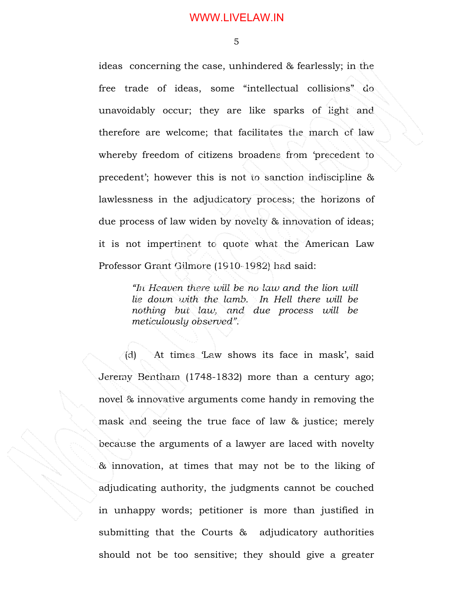5

ideas concerning the case, unhindered & fearlessly; in the free trade of ideas, some "intellectual collisions" do unavoidably occur; they are like sparks of light and therefore are welcome; that facilitates the march of law whereby freedom of citizens broadens from 'precedent to precedent'; however this is not to sanction indiscipline & lawlessness in the adjudicatory process; the horizons of due process of law widen by novelty & innovation of ideas; it is not impertinent to quote what the American Law Professor Grant Gilmore (1910-1982) had said:

> *"In Heaven there will be no law and the lion will lie down with the lamb. In Hell there will be nothing but law, and due process will be meticulously observed".*

 (d) At times 'Law shows its face in mask', said Jeremy Bentham (1748-1832) more than a century ago; novel & innovative arguments come handy in removing the mask and seeing the true face of law & justice; merely because the arguments of a lawyer are laced with novelty & innovation, at times that may not be to the liking of adjudicating authority, the judgments cannot be couched in unhappy words; petitioner is more than justified in submitting that the Courts & adjudicatory authorities should not be too sensitive; they should give a greater